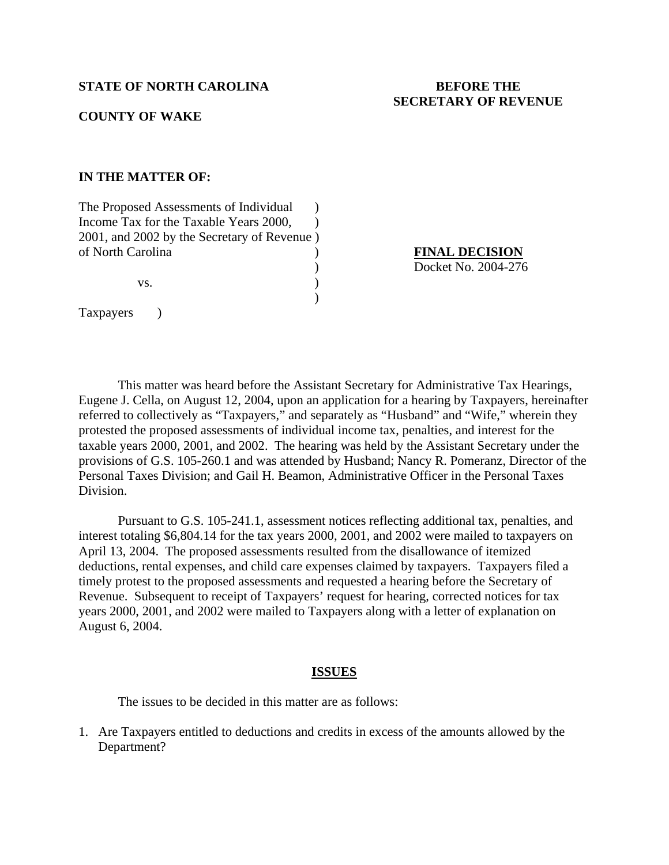### **COUNTY OF WAKE**

# **IN THE MATTER OF:**

The Proposed Assessments of Individual  $\qquad$ ) Income Tax for the Taxable Years 2000, 2001, and 2002 by the Secretary of Revenue ) of North Carolina ) **FINAL DECISION**

 $\overline{\phantom{a}}$ 

vs. (b)

)Docket No. 2004-276

Taxpayers )

This matter was heard before the Assistant Secretary for Administrative Tax Hearings, Eugene J. Cella, on August 12, 2004, upon an application for a hearing by Taxpayers, hereinafter referred to collectively as "Taxpayers," and separately as "Husband" and "Wife," wherein they protested the proposed assessments of individual income tax, penalties, and interest for the taxable years 2000, 2001, and 2002. The hearing was held by the Assistant Secretary under the provisions of G.S. 105-260.1 and was attended by Husband; Nancy R. Pomeranz, Director of the Personal Taxes Division; and Gail H. Beamon, Administrative Officer in the Personal Taxes Division.

Pursuant to G.S. 105-241.1, assessment notices reflecting additional tax, penalties, and interest totaling \$6,804.14 for the tax years 2000, 2001, and 2002 were mailed to taxpayers on April 13, 2004. The proposed assessments resulted from the disallowance of itemized deductions, rental expenses, and child care expenses claimed by taxpayers. Taxpayers filed a timely protest to the proposed assessments and requested a hearing before the Secretary of Revenue. Subsequent to receipt of Taxpayers' request for hearing, corrected notices for tax years 2000, 2001, and 2002 were mailed to Taxpayers along with a letter of explanation on August 6, 2004.

### **ISSUES**

The issues to be decided in this matter are as follows:

1. Are Taxpayers entitled to deductions and credits in excess of the amounts allowed by the Department?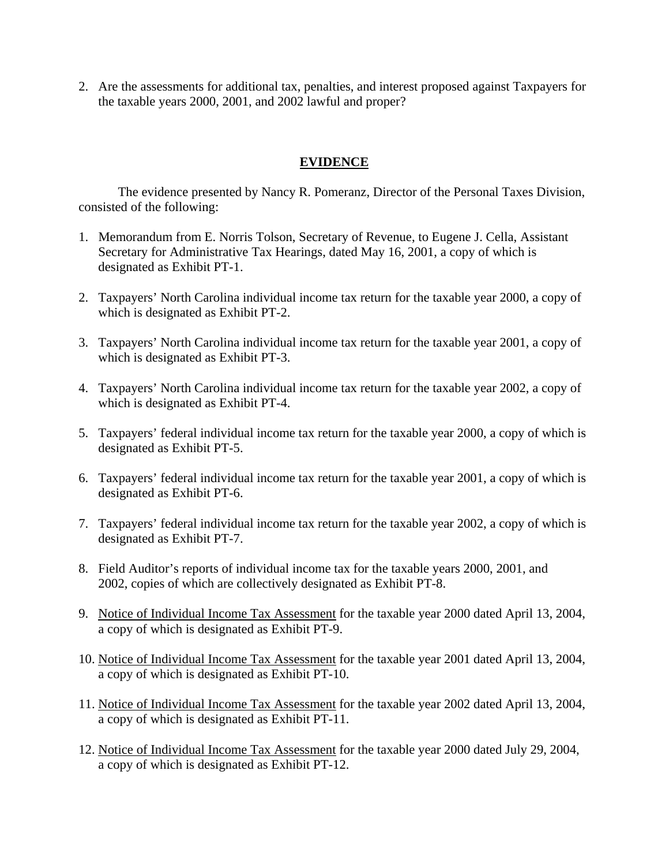2. Are the assessments for additional tax, penalties, and interest proposed against Taxpayers for the taxable years 2000, 2001, and 2002 lawful and proper?

# **EVIDENCE**

 The evidence presented by Nancy R. Pomeranz, Director of the Personal Taxes Division, consisted of the following:

- 1. Memorandum from E. Norris Tolson, Secretary of Revenue, to Eugene J. Cella, Assistant Secretary for Administrative Tax Hearings, dated May 16, 2001, a copy of which is designated as Exhibit PT-1.
- 2. Taxpayers' North Carolina individual income tax return for the taxable year 2000, a copy of which is designated as Exhibit PT-2.
- 3. Taxpayers' North Carolina individual income tax return for the taxable year 2001, a copy of which is designated as Exhibit PT-3.
- 4. Taxpayers' North Carolina individual income tax return for the taxable year 2002, a copy of which is designated as Exhibit PT-4.
- 5. Taxpayers' federal individual income tax return for the taxable year 2000, a copy of which is designated as Exhibit PT-5.
- 6. Taxpayers' federal individual income tax return for the taxable year 2001, a copy of which is designated as Exhibit PT-6.
- 7. Taxpayers' federal individual income tax return for the taxable year 2002, a copy of which is designated as Exhibit PT-7.
- 8. Field Auditor's reports of individual income tax for the taxable years 2000, 2001, and 2002, copies of which are collectively designated as Exhibit PT-8.
- 9. Notice of Individual Income Tax Assessment for the taxable year 2000 dated April 13, 2004, a copy of which is designated as Exhibit PT-9.
- 10. Notice of Individual Income Tax Assessment for the taxable year 2001 dated April 13, 2004, a copy of which is designated as Exhibit PT-10.
- 11. Notice of Individual Income Tax Assessment for the taxable year 2002 dated April 13, 2004, a copy of which is designated as Exhibit PT-11.
- 12. Notice of Individual Income Tax Assessment for the taxable year 2000 dated July 29, 2004, a copy of which is designated as Exhibit PT-12.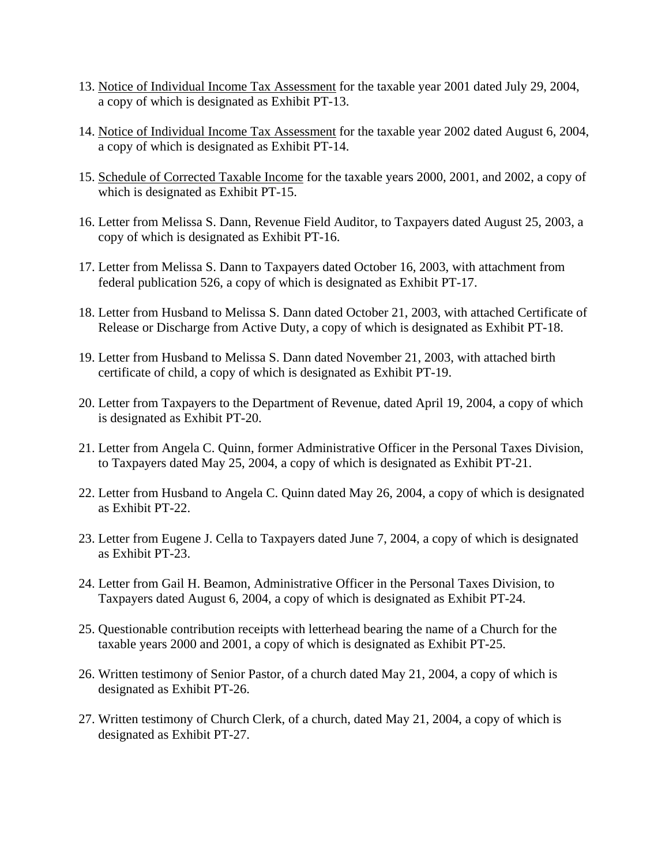- 13. Notice of Individual Income Tax Assessment for the taxable year 2001 dated July 29, 2004, a copy of which is designated as Exhibit PT-13.
- 14. Notice of Individual Income Tax Assessment for the taxable year 2002 dated August 6, 2004, a copy of which is designated as Exhibit PT-14.
- 15. Schedule of Corrected Taxable Income for the taxable years 2000, 2001, and 2002, a copy of which is designated as Exhibit PT-15.
- 16. Letter from Melissa S. Dann, Revenue Field Auditor, to Taxpayers dated August 25, 2003, a copy of which is designated as Exhibit PT-16.
- 17. Letter from Melissa S. Dann to Taxpayers dated October 16, 2003, with attachment from federal publication 526, a copy of which is designated as Exhibit PT-17.
- 18. Letter from Husband to Melissa S. Dann dated October 21, 2003, with attached Certificate of Release or Discharge from Active Duty, a copy of which is designated as Exhibit PT-18.
- 19. Letter from Husband to Melissa S. Dann dated November 21, 2003, with attached birth certificate of child, a copy of which is designated as Exhibit PT-19.
- 20. Letter from Taxpayers to the Department of Revenue, dated April 19, 2004, a copy of which is designated as Exhibit PT-20.
- 21. Letter from Angela C. Quinn, former Administrative Officer in the Personal Taxes Division, to Taxpayers dated May 25, 2004, a copy of which is designated as Exhibit PT-21.
- 22. Letter from Husband to Angela C. Quinn dated May 26, 2004, a copy of which is designated as Exhibit PT-22.
- 23. Letter from Eugene J. Cella to Taxpayers dated June 7, 2004, a copy of which is designated as Exhibit PT-23.
- 24. Letter from Gail H. Beamon, Administrative Officer in the Personal Taxes Division, to Taxpayers dated August 6, 2004, a copy of which is designated as Exhibit PT-24.
- 25. Questionable contribution receipts with letterhead bearing the name of a Church for the taxable years 2000 and 2001, a copy of which is designated as Exhibit PT-25.
- 26. Written testimony of Senior Pastor, of a church dated May 21, 2004, a copy of which is designated as Exhibit PT-26.
- 27. Written testimony of Church Clerk, of a church, dated May 21, 2004, a copy of which is designated as Exhibit PT-27.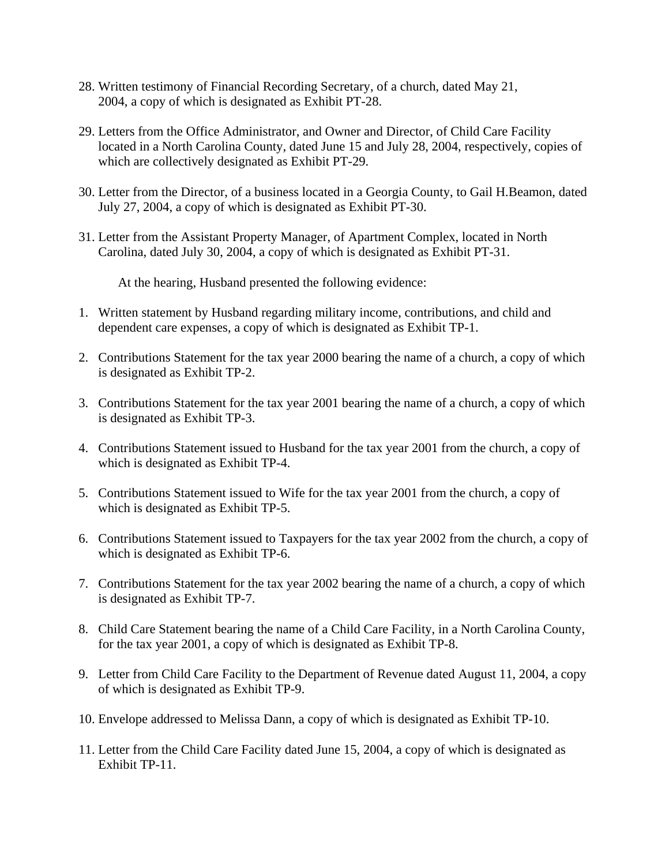- 28. Written testimony of Financial Recording Secretary, of a church, dated May 21, 2004, a copy of which is designated as Exhibit PT-28.
- 29. Letters from the Office Administrator, and Owner and Director, of Child Care Facility located in a North Carolina County, dated June 15 and July 28, 2004, respectively, copies of which are collectively designated as Exhibit PT-29.
- 30. Letter from the Director, of a business located in a Georgia County, to Gail H.Beamon, dated July 27, 2004, a copy of which is designated as Exhibit PT-30.
- 31. Letter from the Assistant Property Manager, of Apartment Complex, located in North Carolina, dated July 30, 2004, a copy of which is designated as Exhibit PT-31.

At the hearing, Husband presented the following evidence:

- 1. Written statement by Husband regarding military income, contributions, and child and dependent care expenses, a copy of which is designated as Exhibit TP-1.
- 2. Contributions Statement for the tax year 2000 bearing the name of a church, a copy of which is designated as Exhibit TP-2.
- 3. Contributions Statement for the tax year 2001 bearing the name of a church, a copy of which is designated as Exhibit TP-3.
- 4. Contributions Statement issued to Husband for the tax year 2001 from the church, a copy of which is designated as Exhibit TP-4.
- 5. Contributions Statement issued to Wife for the tax year 2001 from the church, a copy of which is designated as Exhibit TP-5.
- 6. Contributions Statement issued to Taxpayers for the tax year 2002 from the church, a copy of which is designated as Exhibit TP-6.
- 7. Contributions Statement for the tax year 2002 bearing the name of a church, a copy of which is designated as Exhibit TP-7.
- 8. Child Care Statement bearing the name of a Child Care Facility, in a North Carolina County, for the tax year 2001, a copy of which is designated as Exhibit TP-8.
- 9. Letter from Child Care Facility to the Department of Revenue dated August 11, 2004, a copy of which is designated as Exhibit TP-9.
- 10. Envelope addressed to Melissa Dann, a copy of which is designated as Exhibit TP-10.
- 11. Letter from the Child Care Facility dated June 15, 2004, a copy of which is designated as Exhibit TP-11.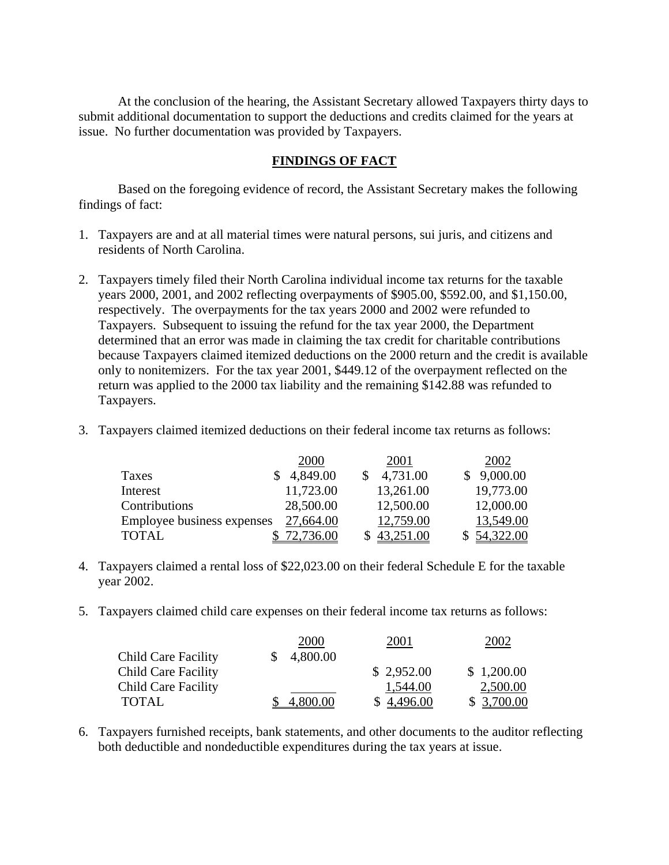At the conclusion of the hearing, the Assistant Secretary allowed Taxpayers thirty days to submit additional documentation to support the deductions and credits claimed for the years at issue. No further documentation was provided by Taxpayers.

## **FINDINGS OF FACT**

Based on the foregoing evidence of record, the Assistant Secretary makes the following findings of fact:

- 1. Taxpayers are and at all material times were natural persons, sui juris, and citizens and residents of North Carolina.
- 2. Taxpayers timely filed their North Carolina individual income tax returns for the taxable years 2000, 2001, and 2002 reflecting overpayments of \$905.00, \$592.00, and \$1,150.00, respectively. The overpayments for the tax years 2000 and 2002 were refunded to Taxpayers. Subsequent to issuing the refund for the tax year 2000, the Department determined that an error was made in claiming the tax credit for charitable contributions because Taxpayers claimed itemized deductions on the 2000 return and the credit is available only to nonitemizers. For the tax year 2001, \$449.12 of the overpayment reflected on the return was applied to the 2000 tax liability and the remaining \$142.88 was refunded to Taxpayers.
- 3. Taxpayers claimed itemized deductions on their federal income tax returns as follows:

|                            | 2000      | 2001      | 2002      |
|----------------------------|-----------|-----------|-----------|
| Taxes                      | 4,849.00  | 4,731.00  | 9,000.00  |
| Interest                   | 11,723.00 | 13,261.00 | 19,773.00 |
| Contributions              | 28,500.00 | 12,500.00 | 12,000.00 |
| Employee business expenses | 27,664.00 | 12,759.00 | 13,549.00 |
| <b>TOTAL</b>               | .736.00   | 43,251.00 | 54,322.00 |

- 4. Taxpayers claimed a rental loss of \$22,023.00 on their federal Schedule E for the taxable year 2002.
- 5. Taxpayers claimed child care expenses on their federal income tax returns as follows:

|                            | 2000     | 2001       | 2002       |
|----------------------------|----------|------------|------------|
| <b>Child Care Facility</b> | 4,800.00 |            |            |
| <b>Child Care Facility</b> |          | \$2,952.00 | \$1,200.00 |
| <b>Child Care Facility</b> |          | 1,544.00   | 2,500.00   |
| <b>TOTAL</b>               | 4.800.00 | \$4,496.00 | \$3,700.00 |

6. Taxpayers furnished receipts, bank statements, and other documents to the auditor reflecting both deductible and nondeductible expenditures during the tax years at issue.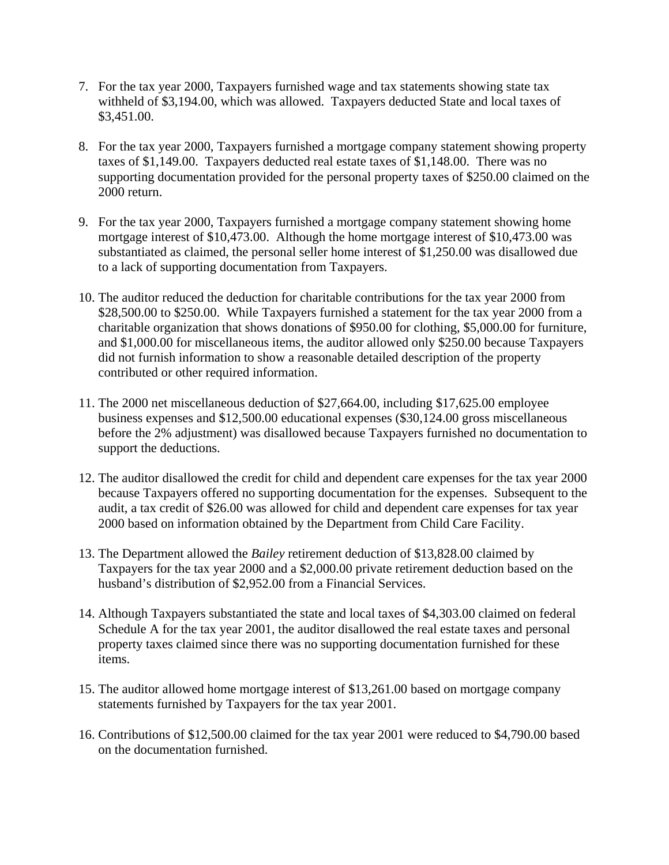- 7. For the tax year 2000, Taxpayers furnished wage and tax statements showing state tax withheld of \$3,194.00, which was allowed. Taxpayers deducted State and local taxes of \$3,451.00.
- 8. For the tax year 2000, Taxpayers furnished a mortgage company statement showing property taxes of \$1,149.00. Taxpayers deducted real estate taxes of \$1,148.00. There was no supporting documentation provided for the personal property taxes of \$250.00 claimed on the 2000 return.
- 9. For the tax year 2000, Taxpayers furnished a mortgage company statement showing home mortgage interest of \$10,473.00. Although the home mortgage interest of \$10,473.00 was substantiated as claimed, the personal seller home interest of \$1,250.00 was disallowed due to a lack of supporting documentation from Taxpayers.
- 10. The auditor reduced the deduction for charitable contributions for the tax year 2000 from \$28,500.00 to \$250.00. While Taxpayers furnished a statement for the tax year 2000 from a charitable organization that shows donations of \$950.00 for clothing, \$5,000.00 for furniture, and \$1,000.00 for miscellaneous items, the auditor allowed only \$250.00 because Taxpayers did not furnish information to show a reasonable detailed description of the property contributed or other required information.
- 11. The 2000 net miscellaneous deduction of \$27,664.00, including \$17,625.00 employee business expenses and \$12,500.00 educational expenses (\$30,124.00 gross miscellaneous before the 2% adjustment) was disallowed because Taxpayers furnished no documentation to support the deductions.
- 12. The auditor disallowed the credit for child and dependent care expenses for the tax year 2000 because Taxpayers offered no supporting documentation for the expenses. Subsequent to the audit, a tax credit of \$26.00 was allowed for child and dependent care expenses for tax year 2000 based on information obtained by the Department from Child Care Facility.
- 13. The Department allowed the *Bailey* retirement deduction of \$13,828.00 claimed by Taxpayers for the tax year 2000 and a \$2,000.00 private retirement deduction based on the husband's distribution of \$2,952.00 from a Financial Services.
- 14. Although Taxpayers substantiated the state and local taxes of \$4,303.00 claimed on federal Schedule A for the tax year 2001, the auditor disallowed the real estate taxes and personal property taxes claimed since there was no supporting documentation furnished for these items.
- 15. The auditor allowed home mortgage interest of \$13,261.00 based on mortgage company statements furnished by Taxpayers for the tax year 2001.
- 16. Contributions of \$12,500.00 claimed for the tax year 2001 were reduced to \$4,790.00 based on the documentation furnished.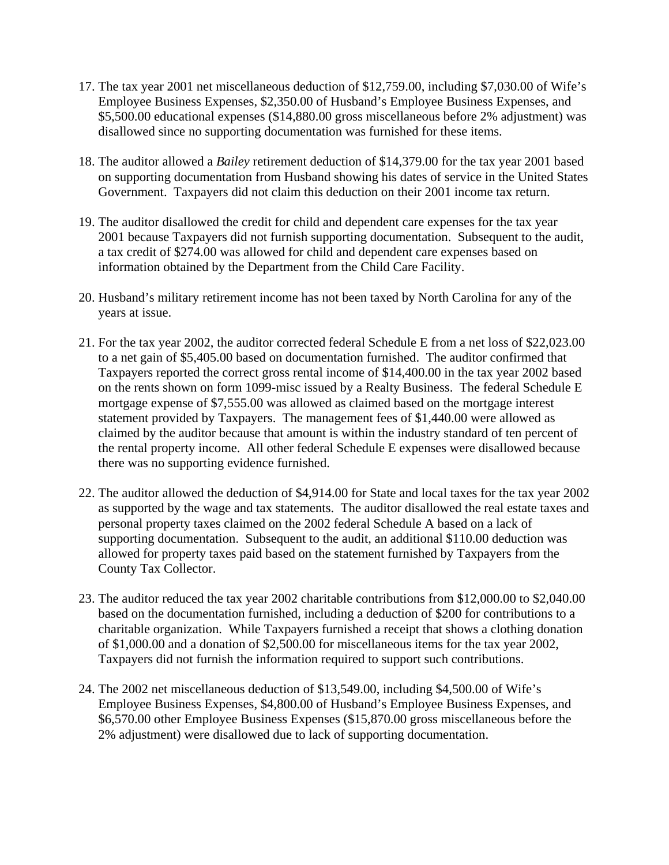- 17. The tax year 2001 net miscellaneous deduction of \$12,759.00, including \$7,030.00 of Wife's Employee Business Expenses, \$2,350.00 of Husband's Employee Business Expenses, and \$5,500.00 educational expenses (\$14,880.00 gross miscellaneous before 2% adjustment) was disallowed since no supporting documentation was furnished for these items.
- 18. The auditor allowed a *Bailey* retirement deduction of \$14,379.00 for the tax year 2001 based on supporting documentation from Husband showing his dates of service in the United States Government. Taxpayers did not claim this deduction on their 2001 income tax return.
- 19. The auditor disallowed the credit for child and dependent care expenses for the tax year 2001 because Taxpayers did not furnish supporting documentation. Subsequent to the audit, a tax credit of \$274.00 was allowed for child and dependent care expenses based on information obtained by the Department from the Child Care Facility.
- 20. Husband's military retirement income has not been taxed by North Carolina for any of the years at issue.
- 21. For the tax year 2002, the auditor corrected federal Schedule E from a net loss of \$22,023.00 to a net gain of \$5,405.00 based on documentation furnished. The auditor confirmed that Taxpayers reported the correct gross rental income of \$14,400.00 in the tax year 2002 based on the rents shown on form 1099-misc issued by a Realty Business. The federal Schedule E mortgage expense of \$7,555.00 was allowed as claimed based on the mortgage interest statement provided by Taxpayers. The management fees of \$1,440.00 were allowed as claimed by the auditor because that amount is within the industry standard of ten percent of the rental property income. All other federal Schedule E expenses were disallowed because there was no supporting evidence furnished.
- 22. The auditor allowed the deduction of \$4,914.00 for State and local taxes for the tax year 2002 as supported by the wage and tax statements. The auditor disallowed the real estate taxes and personal property taxes claimed on the 2002 federal Schedule A based on a lack of supporting documentation. Subsequent to the audit, an additional \$110.00 deduction was allowed for property taxes paid based on the statement furnished by Taxpayers from the County Tax Collector.
- 23. The auditor reduced the tax year 2002 charitable contributions from \$12,000.00 to \$2,040.00 based on the documentation furnished, including a deduction of \$200 for contributions to a charitable organization. While Taxpayers furnished a receipt that shows a clothing donation of \$1,000.00 and a donation of \$2,500.00 for miscellaneous items for the tax year 2002, Taxpayers did not furnish the information required to support such contributions.
- 24. The 2002 net miscellaneous deduction of \$13,549.00, including \$4,500.00 of Wife's Employee Business Expenses, \$4,800.00 of Husband's Employee Business Expenses, and \$6,570.00 other Employee Business Expenses (\$15,870.00 gross miscellaneous before the 2% adjustment) were disallowed due to lack of supporting documentation.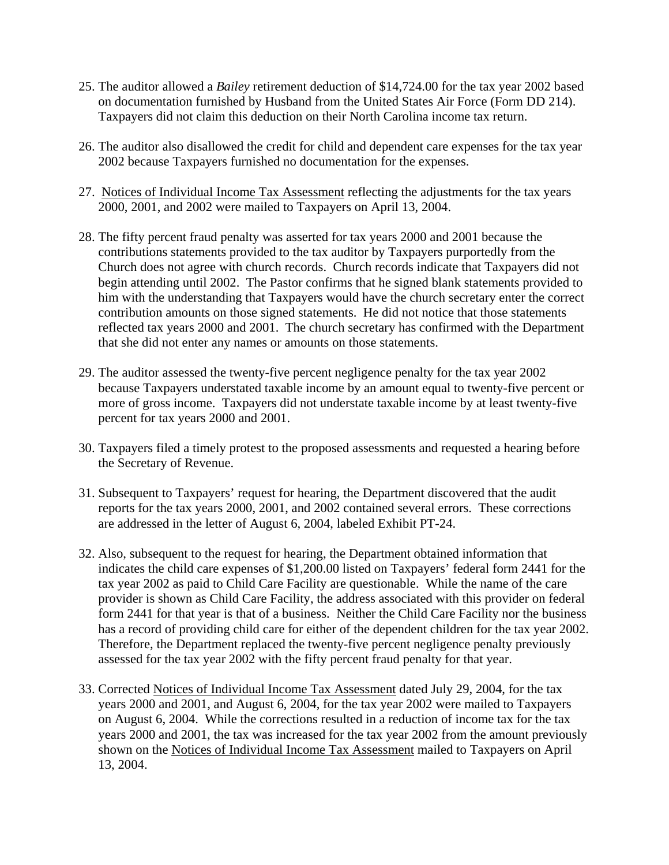- 25. The auditor allowed a *Bailey* retirement deduction of \$14,724.00 for the tax year 2002 based on documentation furnished by Husband from the United States Air Force (Form DD 214). Taxpayers did not claim this deduction on their North Carolina income tax return.
- 26. The auditor also disallowed the credit for child and dependent care expenses for the tax year 2002 because Taxpayers furnished no documentation for the expenses.
- 27. Notices of Individual Income Tax Assessment reflecting the adjustments for the tax years 2000, 2001, and 2002 were mailed to Taxpayers on April 13, 2004.
- 28. The fifty percent fraud penalty was asserted for tax years 2000 and 2001 because the contributions statements provided to the tax auditor by Taxpayers purportedly from the Church does not agree with church records. Church records indicate that Taxpayers did not begin attending until 2002. The Pastor confirms that he signed blank statements provided to him with the understanding that Taxpayers would have the church secretary enter the correct contribution amounts on those signed statements. He did not notice that those statements reflected tax years 2000 and 2001. The church secretary has confirmed with the Department that she did not enter any names or amounts on those statements.
- 29. The auditor assessed the twenty-five percent negligence penalty for the tax year 2002 because Taxpayers understated taxable income by an amount equal to twenty-five percent or more of gross income. Taxpayers did not understate taxable income by at least twenty-five percent for tax years 2000 and 2001.
- 30. Taxpayers filed a timely protest to the proposed assessments and requested a hearing before the Secretary of Revenue.
- 31. Subsequent to Taxpayers' request for hearing, the Department discovered that the audit reports for the tax years 2000, 2001, and 2002 contained several errors. These corrections are addressed in the letter of August 6, 2004, labeled Exhibit PT-24.
- 32. Also, subsequent to the request for hearing, the Department obtained information that indicates the child care expenses of \$1,200.00 listed on Taxpayers' federal form 2441 for the tax year 2002 as paid to Child Care Facility are questionable. While the name of the care provider is shown as Child Care Facility, the address associated with this provider on federal form 2441 for that year is that of a business. Neither the Child Care Facility nor the business has a record of providing child care for either of the dependent children for the tax year 2002. Therefore, the Department replaced the twenty-five percent negligence penalty previously assessed for the tax year 2002 with the fifty percent fraud penalty for that year.
- 33. Corrected Notices of Individual Income Tax Assessment dated July 29, 2004, for the tax years 2000 and 2001, and August 6, 2004, for the tax year 2002 were mailed to Taxpayers on August 6, 2004. While the corrections resulted in a reduction of income tax for the tax years 2000 and 2001, the tax was increased for the tax year 2002 from the amount previously shown on the Notices of Individual Income Tax Assessment mailed to Taxpayers on April 13, 2004.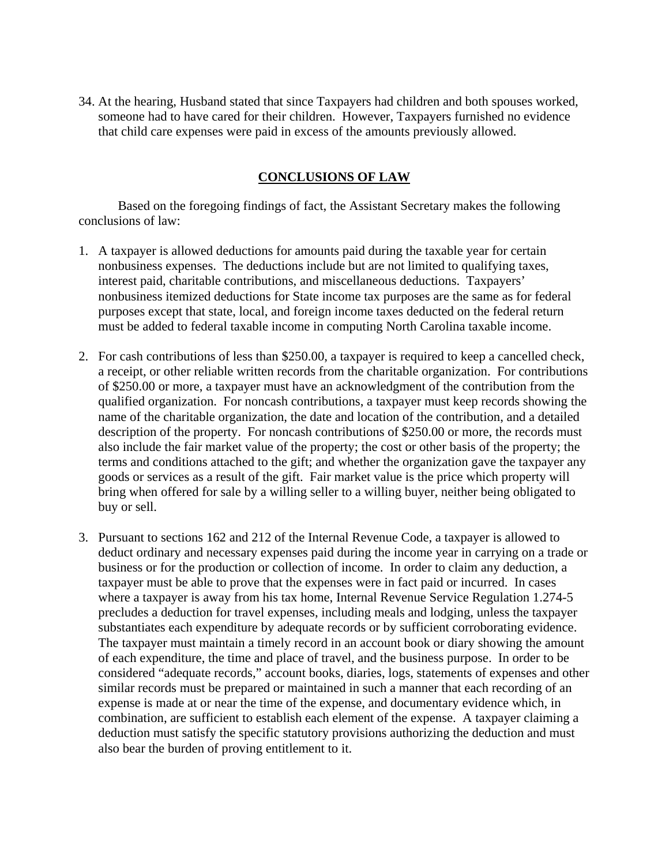34. At the hearing, Husband stated that since Taxpayers had children and both spouses worked, someone had to have cared for their children. However, Taxpayers furnished no evidence that child care expenses were paid in excess of the amounts previously allowed.

## **CONCLUSIONS OF LAW**

Based on the foregoing findings of fact, the Assistant Secretary makes the following conclusions of law:

- 1. A taxpayer is allowed deductions for amounts paid during the taxable year for certain nonbusiness expenses. The deductions include but are not limited to qualifying taxes, interest paid, charitable contributions, and miscellaneous deductions. Taxpayers' nonbusiness itemized deductions for State income tax purposes are the same as for federal purposes except that state, local, and foreign income taxes deducted on the federal return must be added to federal taxable income in computing North Carolina taxable income.
- 2. For cash contributions of less than \$250.00, a taxpayer is required to keep a cancelled check, a receipt, or other reliable written records from the charitable organization. For contributions of \$250.00 or more, a taxpayer must have an acknowledgment of the contribution from the qualified organization. For noncash contributions, a taxpayer must keep records showing the name of the charitable organization, the date and location of the contribution, and a detailed description of the property. For noncash contributions of \$250.00 or more, the records must also include the fair market value of the property; the cost or other basis of the property; the terms and conditions attached to the gift; and whether the organization gave the taxpayer any goods or services as a result of the gift. Fair market value is the price which property will bring when offered for sale by a willing seller to a willing buyer, neither being obligated to buy or sell.
- 3. Pursuant to sections 162 and 212 of the Internal Revenue Code, a taxpayer is allowed to deduct ordinary and necessary expenses paid during the income year in carrying on a trade or business or for the production or collection of income. In order to claim any deduction, a taxpayer must be able to prove that the expenses were in fact paid or incurred. In cases where a taxpayer is away from his tax home, Internal Revenue Service Regulation 1.274-5 precludes a deduction for travel expenses, including meals and lodging, unless the taxpayer substantiates each expenditure by adequate records or by sufficient corroborating evidence. The taxpayer must maintain a timely record in an account book or diary showing the amount of each expenditure, the time and place of travel, and the business purpose. In order to be considered "adequate records," account books, diaries, logs, statements of expenses and other similar records must be prepared or maintained in such a manner that each recording of an expense is made at or near the time of the expense, and documentary evidence which, in combination, are sufficient to establish each element of the expense. A taxpayer claiming a deduction must satisfy the specific statutory provisions authorizing the deduction and must also bear the burden of proving entitlement to it.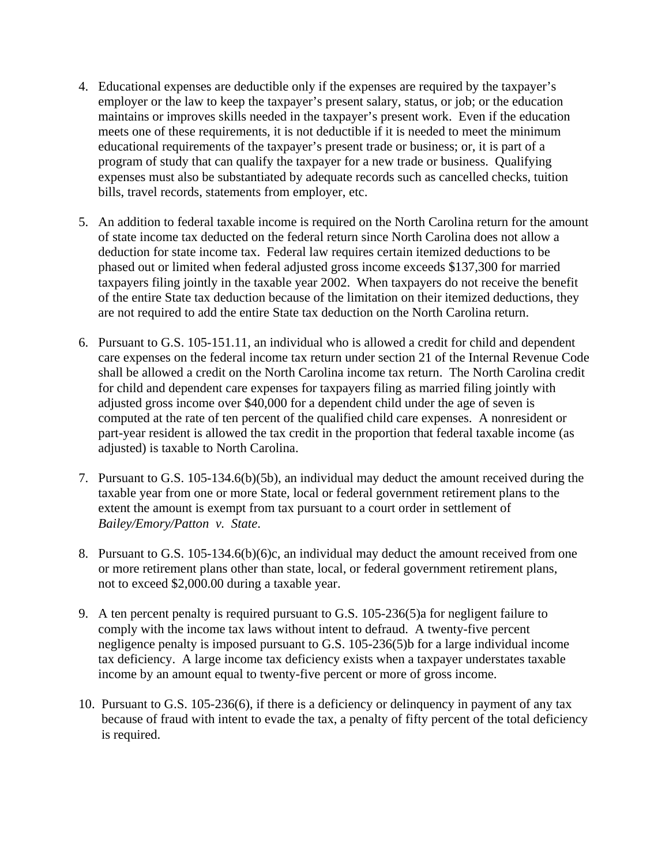- 4. Educational expenses are deductible only if the expenses are required by the taxpayer's employer or the law to keep the taxpayer's present salary, status, or job; or the education maintains or improves skills needed in the taxpayer's present work. Even if the education meets one of these requirements, it is not deductible if it is needed to meet the minimum educational requirements of the taxpayer's present trade or business; or, it is part of a program of study that can qualify the taxpayer for a new trade or business. Qualifying expenses must also be substantiated by adequate records such as cancelled checks, tuition bills, travel records, statements from employer, etc.
- 5. An addition to federal taxable income is required on the North Carolina return for the amount of state income tax deducted on the federal return since North Carolina does not allow a deduction for state income tax. Federal law requires certain itemized deductions to be phased out or limited when federal adjusted gross income exceeds \$137,300 for married taxpayers filing jointly in the taxable year 2002. When taxpayers do not receive the benefit of the entire State tax deduction because of the limitation on their itemized deductions, they are not required to add the entire State tax deduction on the North Carolina return.
- 6. Pursuant to G.S. 105-151.11, an individual who is allowed a credit for child and dependent care expenses on the federal income tax return under section 21 of the Internal Revenue Code shall be allowed a credit on the North Carolina income tax return. The North Carolina credit for child and dependent care expenses for taxpayers filing as married filing jointly with adjusted gross income over \$40,000 for a dependent child under the age of seven is computed at the rate of ten percent of the qualified child care expenses. A nonresident or part-year resident is allowed the tax credit in the proportion that federal taxable income (as adjusted) is taxable to North Carolina.
- 7. Pursuant to G.S. 105-134.6(b)(5b), an individual may deduct the amount received during the taxable year from one or more State, local or federal government retirement plans to the extent the amount is exempt from tax pursuant to a court order in settlement of *Bailey/Emory/Patton v. State*.
- 8. Pursuant to G.S. 105-134.6(b)(6)c, an individual may deduct the amount received from one or more retirement plans other than state, local, or federal government retirement plans, not to exceed \$2,000.00 during a taxable year.
- 9. A ten percent penalty is required pursuant to G.S. 105-236(5)a for negligent failure to comply with the income tax laws without intent to defraud. A twenty-five percent negligence penalty is imposed pursuant to G.S. 105-236(5)b for a large individual income tax deficiency. A large income tax deficiency exists when a taxpayer understates taxable income by an amount equal to twenty-five percent or more of gross income.
- 10. Pursuant to G.S. 105-236(6), if there is a deficiency or delinquency in payment of any tax because of fraud with intent to evade the tax, a penalty of fifty percent of the total deficiency is required.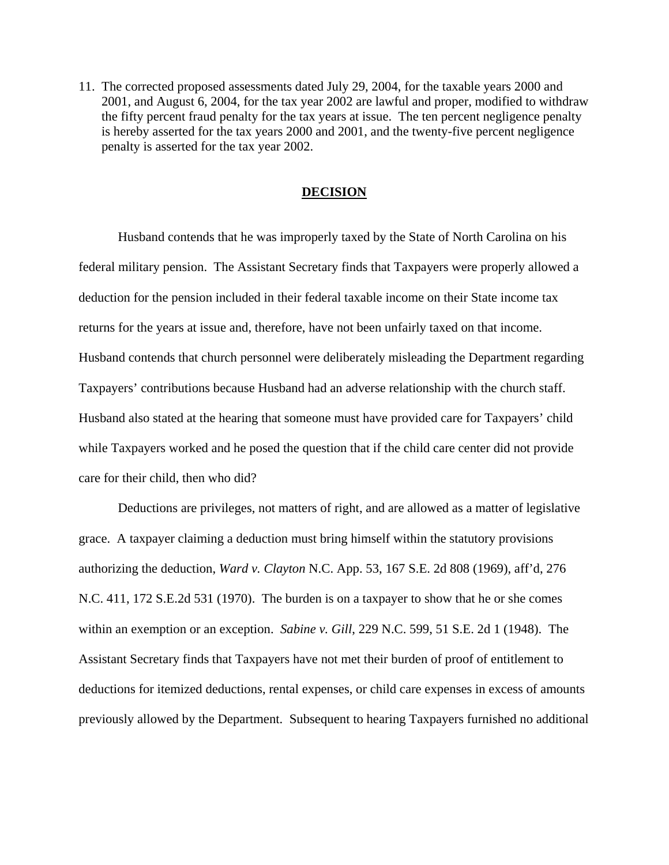11. The corrected proposed assessments dated July 29, 2004, for the taxable years 2000 and 2001, and August 6, 2004, for the tax year 2002 are lawful and proper, modified to withdraw the fifty percent fraud penalty for the tax years at issue. The ten percent negligence penalty is hereby asserted for the tax years 2000 and 2001, and the twenty-five percent negligence penalty is asserted for the tax year 2002.

#### **DECISION**

Husband contends that he was improperly taxed by the State of North Carolina on his federal military pension. The Assistant Secretary finds that Taxpayers were properly allowed a deduction for the pension included in their federal taxable income on their State income tax returns for the years at issue and, therefore, have not been unfairly taxed on that income. Husband contends that church personnel were deliberately misleading the Department regarding Taxpayers' contributions because Husband had an adverse relationship with the church staff. Husband also stated at the hearing that someone must have provided care for Taxpayers' child while Taxpayers worked and he posed the question that if the child care center did not provide care for their child, then who did?

Deductions are privileges, not matters of right, and are allowed as a matter of legislative grace. A taxpayer claiming a deduction must bring himself within the statutory provisions authorizing the deduction, *Ward v. Clayton* N.C. App. 53, 167 S.E. 2d 808 (1969), aff'd, 276 N.C. 411, 172 S.E.2d 531 (1970). The burden is on a taxpayer to show that he or she comes within an exemption or an exception. *Sabine v. Gill*, 229 N.C. 599, 51 S.E. 2d 1 (1948). The Assistant Secretary finds that Taxpayers have not met their burden of proof of entitlement to deductions for itemized deductions, rental expenses, or child care expenses in excess of amounts previously allowed by the Department. Subsequent to hearing Taxpayers furnished no additional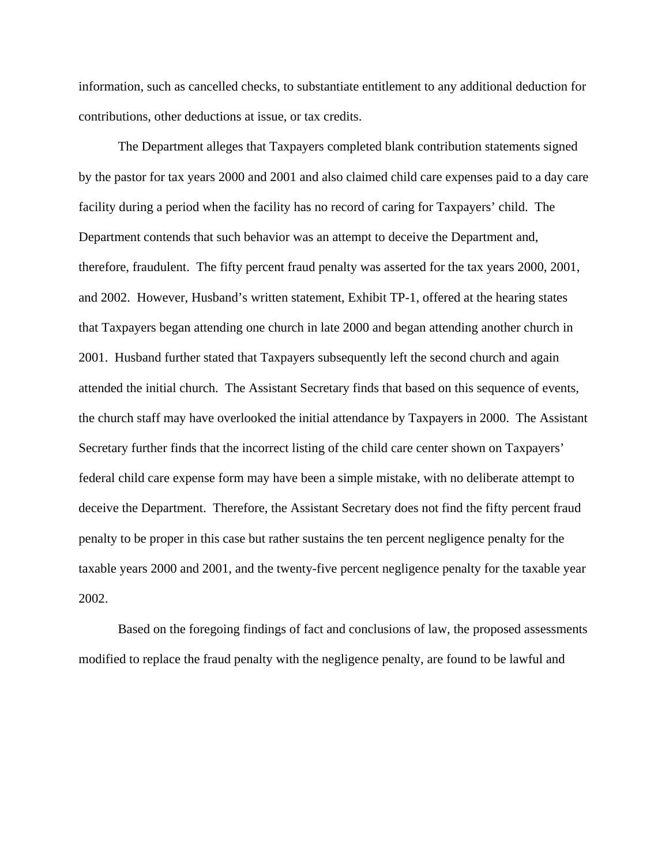information, such as cancelled checks, to substantiate entitlement to any additional deduction for contributions, other deductions at issue, or tax credits.

 The Department alleges that Taxpayers completed blank contribution statements signed by the pastor for tax years 2000 and 2001 and also claimed child care expenses paid to a day care facility during a period when the facility has no record of caring for Taxpayers' child. The Department contends that such behavior was an attempt to deceive the Department and, therefore, fraudulent. The fifty percent fraud penalty was asserted for the tax years 2000, 2001, and 2002. However, Husband's written statement, Exhibit TP-1, offered at the hearing states that Taxpayers began attending one church in late 2000 and began attending another church in 2001. Husband further stated that Taxpayers subsequently left the second church and again attended the initial church. The Assistant Secretary finds that based on this sequence of events, the church staff may have overlooked the initial attendance by Taxpayers in 2000. The Assistant Secretary further finds that the incorrect listing of the child care center shown on Taxpayers' federal child care expense form may have been a simple mistake, with no deliberate attempt to deceive the Department. Therefore, the Assistant Secretary does not find the fifty percent fraud penalty to be proper in this case but rather sustains the ten percent negligence penalty for the taxable years 2000 and 2001, and the twenty-five percent negligence penalty for the taxable year 2002.

Based on the foregoing findings of fact and conclusions of law, the proposed assessments modified to replace the fraud penalty with the negligence penalty, are found to be lawful and